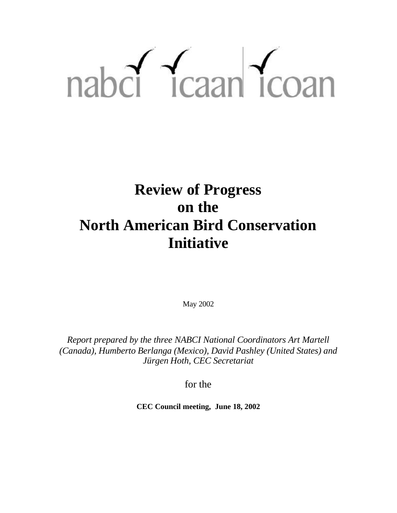# nabcl Tcaan Tcoan

# **Review of Progress on the North American Bird Conservation Initiative**

May 2002

*Report prepared by the three NABCI National Coordinators Art Martell (Canada), Humberto Berlanga (Mexico), David Pashley (United States) and Jürgen Hoth, CEC Secretariat* 

for the

**CEC Council meeting, June 18, 2002**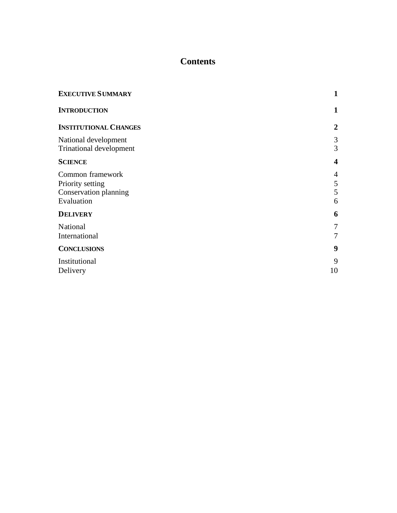# **Contents**

| <b>EXECUTIVE SUMMARY</b>                                                    | $\mathbf{1}$            |
|-----------------------------------------------------------------------------|-------------------------|
| <b>INTRODUCTION</b>                                                         | 1                       |
| <b>INSTITUTIONAL CHANGES</b>                                                | $\boldsymbol{2}$        |
| National development<br><b>Trinational development</b>                      | 3<br>3                  |
| <b>SCIENCE</b>                                                              | $\overline{\mathbf{4}}$ |
| Common framework<br>Priority setting<br>Conservation planning<br>Evaluation | 4<br>5<br>5<br>6        |
| <b>DELIVERY</b>                                                             | 6                       |
| National<br>International                                                   | 7<br>7                  |
| <b>CONCLUSIONS</b>                                                          | 9                       |
| Institutional<br>Delivery                                                   | 9<br>10                 |
|                                                                             |                         |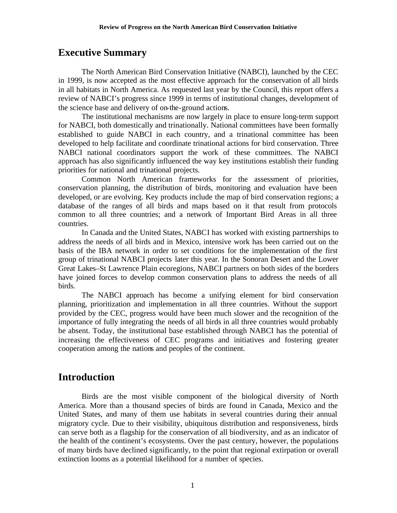# **Executive Summary**

The North American Bird Conservation Initiative (NABCI), launched by the CEC in 1999, is now accepted as the most effective approach for the conservation of all birds in all habitats in North America. As requested last year by the Council, this report offers a review of NABCI's progress since 1999 in terms of institutional changes, development of the science base and delivery of on-the-ground actions.

The institutional mechanisms are now largely in place to ensure long-term support for NABCI, both domestically and trinationally. National committees have been formally established to guide NABCI in each country, and a trinational committee has been developed to help facilitate and coordinate trinational actions for bird conservation. Three NABCI national coordinators support the work of these committees. The NABCI approach has also significantly influenced the way key institutions establish their funding priorities for national and trinational projects.

Common North American frameworks for the assessment of priorities, conservation planning, the distribution of birds, monitoring and evaluation have been developed, or are evolving. Key products include the map of bird conservation regions; a database of the ranges of all birds and maps based on it that result from protocols common to all three countries; and a network of Important Bird Areas in all three countries.

In Canada and the United States, NABCI has worked with existing partnerships to address the needs of all birds and in Mexico, intensive work has been carried out on the basis of the IBA network in order to set conditions for the implementation of the first group of trinational NABCI projects later this year. In the Sonoran Desert and the Lower Great Lakes–St Lawrence Plain ecoregions, NABCI partners on both sides of the borders have joined forces to develop common conservation plans to address the needs of all birds.

The NABCI approach has become a unifying element for bird conservation planning, prioritization and implementation in all three countries. Without the support provided by the CEC, progress would have been much slower and the recognition of the importance of fully integrating the needs of all birds in all three countries would probably be absent. Today, the institutional base established through NABCI has the potential of increasing the effectiveness of CEC programs and initiatives and fostering greater cooperation among the nations and peoples of the continent.

# **Introduction**

Birds are the most visible component of the biological diversity of North America. More than a thousand species of birds are found in Canada, Mexico and the United States, and many of them use habitats in several countries during their annual migratory cycle. Due to their visibility, ubiquitous distribution and responsiveness, birds can serve both as a flagship for the conservation of all biodiversity, and as an indicator of the health of the continent's ecosystems. Over the past century, however, the populations of many birds have declined significantly, to the point that regional extirpation or overall extinction looms as a potential likelihood for a number of species.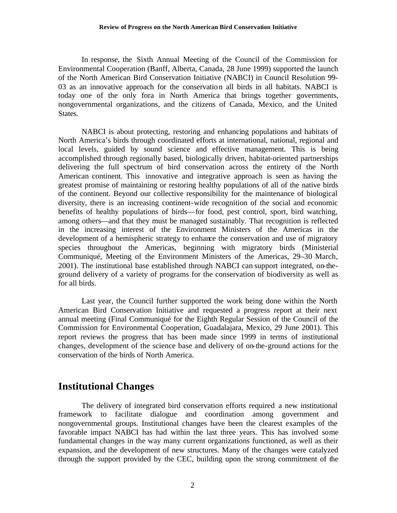In response, the Sixth Annual Meeting of the Council of the Commission for Environmental Cooperation (Banff, Alberta, Canada, 28 June 1999) supported the launch of the North American Bird Conservation Initiative (NABCI) in Council Resolution 99- 03 as an innovative approach for the conservation all birds in all habitats. NABCI is today one of the only fora in North America that brings together governments, nongovernmental organizations, and the citizens of Canada, Mexico, and the United States.

NABCI is about protecting, restoring and enhancing populations and habitats of North America's birds through coordinated efforts at international, national, regional and local levels, guided by sound science and effective management. This is being accomplished through regionally based, biologically driven, habitat-oriented partnerships delivering the full spectrum of bird conservation across the entirety of the North American continent. This innovative and integrative approach is seen as having the greatest promise of maintaining or restoring healthy populations of all of the native birds of the continent. Beyond our collective responsibility for the maintenance of biological diversity, there is an increasing continent-wide recognition of the social and economic benefits of healthy populations of birds—for food, pest control, sport, bird watching, among others—and that they must be managed sustainably. That recognition is reflected in the increasing interest of the Environment Ministers of the Americas in the development of a hemispheric strategy to enhance the conservation and use of migratory species throughout the Americas, beginning with migratory birds (Ministerial Communiqué, Meeting of the Environment Ministers of the Americas, 29–30 March, 2001). The institutional base established through NABCI can support integrated, on-theground delivery of a variety of programs for the conservation of biodiversity as well as for all birds.

Last year, the Council further supported the work being done within the North American Bird Conservation Initiative and requested a progress report at their next annual meeting (Final Communiqué for the Eighth Regular Session of the Council of the Commission for Environmental Cooperation, Guadalajara, Mexico, 29 June 2001). This report reviews the progress that has been made since 1999 in terms of institutional changes, development of the science base and delivery of on-the-ground actions for the conservation of the birds of North America.

## **Institutional Changes**

The delivery of integrated bird conservation efforts required a new institutional framework to facilitate dialogue and coordination among government and nongovernmental groups. Institutional changes have been the clearest examples of the favorable impact NABCI has had within the last three years. This has involved some fundamental changes in the way many current organizations functioned, as well as their expansion, and the development of new structures. Many of the changes were catalyzed through the support provided by the CEC, building upon the strong commitment of the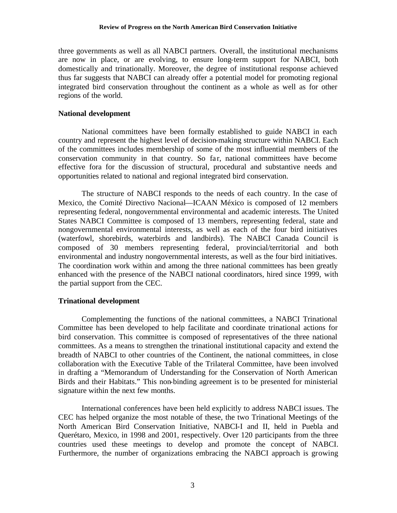three governments as well as all NABCI partners. Overall, the institutional mechanisms are now in place, or are evolving, to ensure long-term support for NABCI, both domestically and trinationally. Moreover, the degree of institutional response achieved thus far suggests that NABCI can already offer a potential model for promoting regional integrated bird conservation throughout the continent as a whole as well as for other regions of the world.

#### **National development**

National committees have been formally established to guide NABCI in each country and represent the highest level of decision-making structure within NABCI. Each of the committees includes membership of some of the most influential members of the conservation community in that country. So far, national committees have become effective fora for the discussion of structural, procedural and substantive needs and opportunities related to national and regional integrated bird conservation.

The structure of NABCI responds to the needs of each country. In the case of Mexico, the Comité Directivo Nacional—ICAAN México is composed of 12 members representing federal, nongovernmental environmental and academic interests. The United States NABCI Committee is composed of 13 members, representing federal, state and nongovernmental environmental interests, as well as each of the four bird initiatives (waterfowl, shorebirds, waterbirds and landbirds). The NABCI Canada Council is composed of 30 members representing federal, provincial/territorial and both environmental and industry nongovernmental interests, as well as the four bird initiatives. The coordination work within and among the three national committees has been greatly enhanced with the presence of the NABCI national coordinators, hired since 1999, with the partial support from the CEC.

#### **Trinational development**

Complementing the functions of the national committees, a NABCI Trinational Committee has been developed to help facilitate and coordinate trinational actions for bird conservation. This committee is composed of representatives of the three national committees. As a means to strengthen the trinational institutional capacity and extend the breadth of NABCI to other countries of the Continent, the national committees, in close collaboration with the Executive Table of the Trilateral Committee, have been involved in drafting a "Memorandum of Understanding for the Conservation of North American Birds and their Habitats." This non-binding agreement is to be presented for ministerial signature within the next few months.

International conferences have been held explicitly to address NABCI issues. The CEC has helped organize the most notable of these, the two Trinational Meetings of the North American Bird Conservation Initiative, NABCI-I and II, held in Puebla and Querétaro, Mexico, in 1998 and 2001, respectively. Over 120 participants from the three countries used these meetings to develop and promote the concept of NABCI. Furthermore, the number of organizations embracing the NABCI approach is growing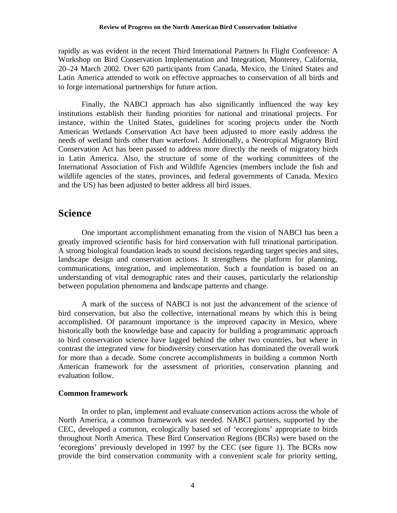#### **Review of Progress on the North American Bird Conservation Initiative**

rapidly as was evident in the recent Third International Partners In Flight Conference: A Workshop on Bird Conservation Implementation and Integration, Monterey, California, 20–24 March 2002. Over 620 participants from Canada, Mexico, the United States and Latin America attended to work on effective approaches to conservation of all birds and to forge international partnerships for future action.

Finally, the NABCI approach has also significantly influenced the way key institutions establish their funding priorities for national and trinational projects. For instance, within the United States, guidelines for scoring projects under the North American Wetlands Conservation Act have been adjusted to more easily address the needs of wetland birds other than waterfowl. Additionally, a Neotropical Migratory Bird Conservation Act has been passed to address more directly the needs of migratory birds in Latin America. Also, the structure of some of the working committees of the International Association of Fish and Wildlife Agencies (members include the fish and wildlife agencies of the states, provinces, and federal governments of Canada, Mexico and the US) has been adjusted to better address all bird issues.

# **Science**

One important accomplishment emanating from the vision of NABCI has been a greatly improved scientific basis for bird conservation with full trinational participation. A strong biological foundation leads to sound decisions regarding target species and sites, landscape design and conservation actions. It strengthens the platform for planning, communications, integration, and implementation. Such a foundation is based on an understanding of vital demographic rates and their causes, particularly the relationship between population phenomena and landscape patterns and change.

A mark of the success of NABCI is not just the advancement of the science of bird conservation, but also the collective, international means by which this is being accomplished. Of paramount importance is the improved capacity in Mexico, where historically both the knowledge base and capacity for building a programmatic approach to bird conservation science have lagged behind the other two countries, but where in contrast the integrated view for biodiversity conservation has dominated the overall work for more than a decade. Some concrete accomplishments in building a common North American framework for the assessment of priorities, conservation planning and evaluation follow.

#### **Common framework**

In order to plan, implement and evaluate conservation actions across the whole of North America, a common framework was needed. NABCI partners, supported by the CEC, developed a common, ecologically based set of 'ecoregions' appropriate to birds throughout North America. These Bird Conservation Regions (BCRs) were based on the 'ecoregions' previously developed in 1997 by the CEC (see figure 1). The BCRs now provide the bird conservation community with a convenient scale for priority setting,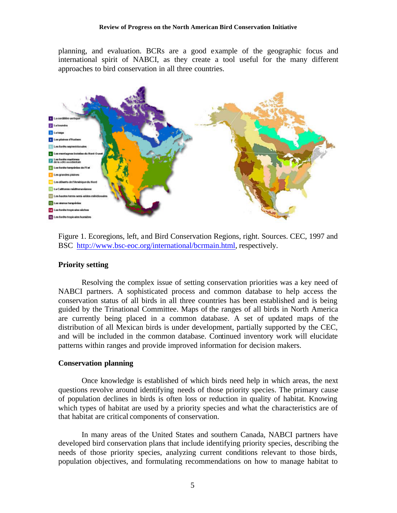planning, and evaluation. BCRs are a good example of the geographic focus and international spirit of NABCI, as they create a tool useful for the many different approaches to bird conservation in all three countries.



Figure 1. Ecoregions, left, and Bird Conservation Regions, right. Sources. CEC, 1997 and BSC http://www.bsc-eoc.org/international/bcrmain.html, respectively.

#### **Priority setting**

Resolving the complex issue of setting conservation priorities was a key need of NABCI partners. A sophisticated process and common database to help access the conservation status of all birds in all three countries has been established and is being guided by the Trinational Committee. Maps of the ranges of all birds in North America are currently being placed in a common database. A set of updated maps of the distribution of all Mexican birds is under development, partially supported by the CEC, and will be included in the common database. Continued inventory work will elucidate patterns within ranges and provide improved information for decision makers.

#### **Conservation planning**

Once knowledge is established of which birds need help in which areas, the next questions revolve around identifying needs of those priority species. The primary cause of population declines in birds is often loss or reduction in quality of habitat. Knowing which types of habitat are used by a priority species and what the characteristics are of that habitat are critical components of conservation.

In many areas of the United States and southern Canada, NABCI partners have developed bird conservation plans that include identifying priority species, describing the needs of those priority species, analyzing current conditions relevant to those birds, population objectives, and formulating recommendations on how to manage habitat to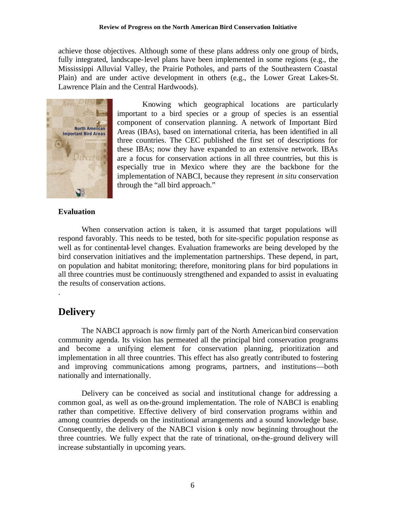achieve those objectives. Although some of these plans address only one group of birds, fully integrated, landscape-level plans have been implemented in some regions (e.g., the Mississippi Alluvial Valley, the Prairie Potholes, and parts of the Southeastern Coastal Plain) and are under active development in others (e.g., the Lower Great Lakes-St. Lawrence Plain and the Central Hardwoods).



 Knowing which geographical locations are particularly important to a bird species or a group of species is an essential component of conservation planning. A network of Important Bird Areas (IBAs), based on international criteria, has been identified in all three countries. The CEC published the first set of descriptions for these IBAs; now they have expanded to an extensive network. IBAs are a focus for conservation actions in all three countries, but this is especially true in Mexico where they are the backbone for the implementation of NABCI, because they represent *in situ* conservation through the "all bird approach."

#### **Evaluation**

When conservation action is taken, it is assumed that target populations will respond favorably. This needs to be tested, both for site-specific population response as well as for continental-level changes. Evaluation frameworks are being developed by the bird conservation initiatives and the implementation partnerships. These depend, in part, on population and habitat monitoring; therefore, monitoring plans for bird populations in all three countries must be continuously strengthened and expanded to assist in evaluating the results of conservation actions.

## **Delivery**

.

The NABCI approach is now firmly part of the North American bird conservation community agenda. Its vision has permeated all the principal bird conservation programs and become a unifying element for conservation planning, prioritization and implementation in all three countries. This effect has also greatly contributed to fostering and improving communications among programs, partners, and institutions—both nationally and internationally.

Delivery can be conceived as social and institutional change for addressing a common goal, as well as on-the-ground implementation. The role of NABCI is enabling rather than competitive. Effective delivery of bird conservation programs within and among countries depends on the institutional arrangements and a sound knowledge base. Consequently, the delivery of the NABCI vision is only now beginning throughout the three countries. We fully expect that the rate of trinational, on-the-ground delivery will increase substantially in upcoming years.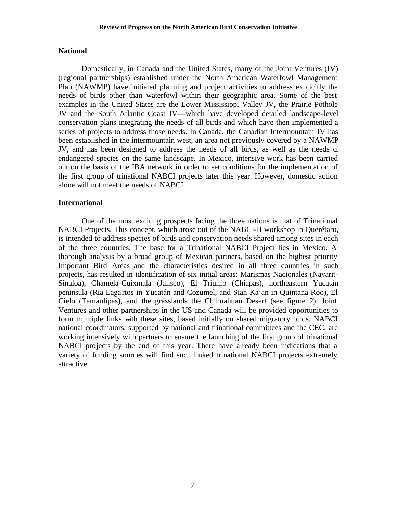#### **National**

Domestically, in Canada and the United States, many of the Joint Ventures (JV) (regional partnerships) established under the North American Waterfowl Management Plan (NAWMP) have initiated planning and project activities to address explicitly the needs of birds other than waterfowl within their geographic area. Some of the best examples in the United States are the Lower Mississippi Valley JV, the Prairie Pothole JV and the South Atlantic Coast JV—which have developed detailed landscape-level conservation plans integrating the needs of all birds and which have then implemented a series of projects to address those needs. In Canada, the Canadian Intermountain JV has been established in the intermountain west, an area not previously covered by a NAWMP JV, and has been designed to address the needs of all birds, as well as the needs of endangered species on the same landscape. In Mexico, intensive work has been carried out on the basis of the IBA network in order to set conditions for the implementation of the first group of trinational NABCI projects later this year. However, domestic action alone will not meet the needs of NABCI.

#### **International**

One of the most exciting prospects facing the three nations is that of Trinational NABCI Projects. This concept, which arose out of the NABCI-II workshop in Querétaro, is intended to address species of birds and conservation needs shared among sites in each of the three countries. The base for a Trinational NABCI Project lies in Mexico. A thorough analysis by a broad group of Mexican partners, based on the highest priority Important Bird Areas and the characteristics desired in all three countries in such projects, has resulted in identification of six initial areas: Marismas Nacionales (Nayarit-Sinaloa), Chamela-Cuixmala (Jalisco), El Triunfo (Chiapas), northeastern Yucatán peninsula (Ria Laga rtos in Yucatán and Cozumel, and Sian Ka'an in Quintana Roo), El Cielo (Tamaulipas), and the grasslands the Chihuahuan Desert (see figure 2). Joint Ventures and other partnerships in the US and Canada will be provided opportunities to form multiple links with these sites, based initially on shared migratory birds. NABCI national coordinators, supported by national and trinational committees and the CEC, are working intensively with partners to ensure the launching of the first group of trinational NABCI projects by the end of this year. There have already been indications that a variety of funding sources will find such linked trinational NABCI projects extremely attractive.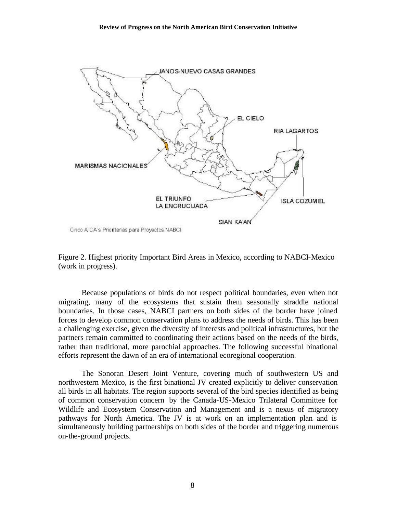

Figure 2. Highest priority Important Bird Areas in Mexico, according to NABCI-Mexico (work in progress).

Because populations of birds do not respect political boundaries, even when not migrating, many of the ecosystems that sustain them seasonally straddle national boundaries. In those cases, NABCI partners on both sides of the border have joined forces to develop common conservation plans to address the needs of birds. This has been a challenging exercise, given the diversity of interests and political infrastructures, but the partners remain committed to coordinating their actions based on the needs of the birds, rather than traditional, more parochial approaches. The following successful binational efforts represent the dawn of an era of international ecoregional cooperation.

The Sonoran Desert Joint Venture, covering much of southwestern US and northwestern Mexico, is the first binational JV created explicitly to deliver conservation all birds in all habitats. The region supports several of the bird species identified as being of common conservation concern by the Canada-US-Mexico Trilateral Committee for Wildlife and Ecosystem Conservation and Management and is a nexus of migratory pathways for North America. The JV is at work on an implementation plan and is simultaneously building partnerships on both sides of the border and triggering numerous on-the-ground projects.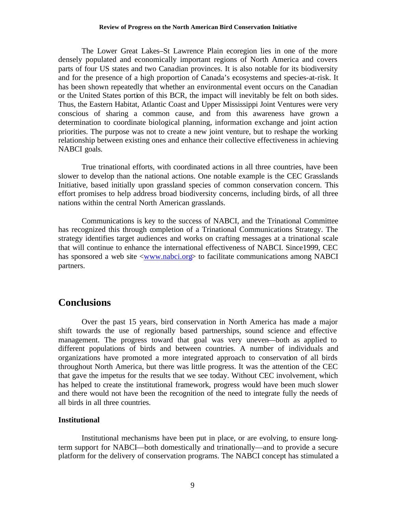#### **Review of Progress on the North American Bird Conservation Initiative**

The Lower Great Lakes–St Lawrence Plain ecoregion lies in one of the more densely populated and economically important regions of North America and covers parts of four US states and two Canadian provinces. It is also notable for its biodiversity and for the presence of a high proportion of Canada's ecosystems and species-at-risk. It has been shown repeatedly that whether an environmental event occurs on the Canadian or the United States portion of this BCR, the impact will inevitably be felt on both sides. Thus, the Eastern Habitat, Atlantic Coast and Upper Mississippi Joint Ventures were very conscious of sharing a common cause, and from this awareness have grown a determination to coordinate biological planning, information exchange and joint action priorities. The purpose was not to create a new joint venture, but to reshape the working relationship between existing ones and enhance their collective effectiveness in achieving NABCI goals.

True trinational efforts, with coordinated actions in all three countries, have been slower to develop than the national actions. One notable example is the CEC Grasslands Initiative, based initially upon grassland species of common conservation concern. This effort promises to help address broad biodiversity concerns, including birds, of all three nations within the central North American grasslands.

Communications is key to the success of NABCI, and the Trinational Committee has recognized this through completion of a Trinational Communications Strategy. The strategy identifies target audiences and works on crafting messages at a trinational scale that will continue to enhance the international effectiveness of NABCI. Since1999, CEC has sponsored a web site <www.nabci.org> to facilitate communications among NABCI partners.

# **Conclusions**

Over the past 15 years, bird conservation in North America has made a major shift towards the use of regionally based partnerships, sound science and effective management. The progress toward that goal was very uneven—both as applied to different populations of birds and between countries. A number of individuals and organizations have promoted a more integrated approach to conservation of all birds throughout North America, but there was little progress. It was the attention of the CEC that gave the impetus for the results that we see today. Without CEC involvement, which has helped to create the institutional framework, progress would have been much slower and there would not have been the recognition of the need to integrate fully the needs of all birds in all three countries.

#### **Institutional**

Institutional mechanisms have been put in place, or are evolving, to ensure longterm support for NABCI—both domestically and trinationally—and to provide a secure platform for the delivery of conservation programs. The NABCI concept has stimulated a